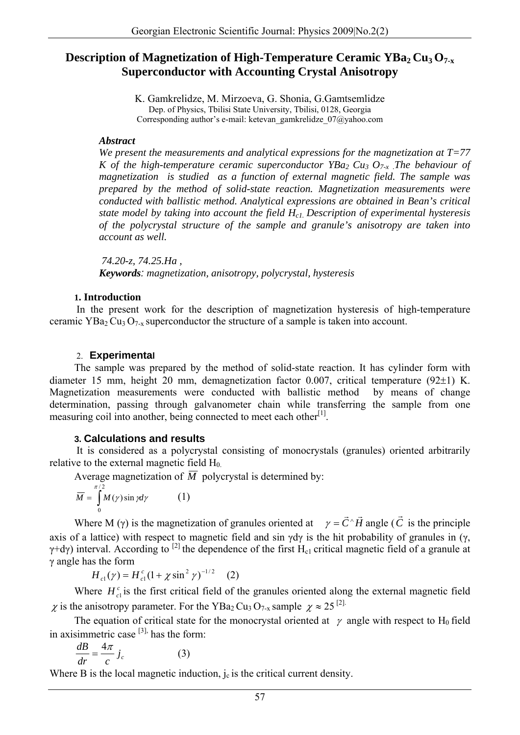# **Description of Magnetization of High-Temperature Ceramic YBa<sub>2</sub> Cu<sub>3</sub> O<sub>7-x</sub> Superconductor with Accounting Crystal Anisotropy**

K. Gamkrelidze, M. Mirzoeva, G. Shonia, G.Gamtsemlidze Dep. of Physics, Tbilisi State University, Tbilisi, 0128, Georgia Corresponding author's e-mail: ketevan\_gamkrelidze\_07@yahoo.com

#### *Abstract*

*We present the measurements and analytical expressions for the magnetization at T=77 K* of the high-temperature ceramic superconductor  $YBa_2 Cu_3 O_{7-x}$ . The behaviour of *magnetization is studied as a function of external magnetic field. The sample was prepared by the method of solid-state reaction. Magnetization measurements were conducted with ballistic method. Analytical expressions are obtained in Bean's critical state model by taking into account the field Hc1. Description of experimental hysteresis of the polycrystal structure of the sample and granule's anisotropy are taken into account as well.* 

 *74.20-z, 74.25.Ha , Keywords: magnetization, anisotropy, polycrystal, hysteresis*

#### **1. Introduction**

In the present work for the description of magnetization hysteresis of high-temperature ceramic YBa<sub>2</sub> Cu<sub>3</sub> O<sub>7-y</sub> superconductor the structure of a sample is taken into account.

## 2. **Experimental**

The sample was prepared by the method of solid-state reaction. It has cylinder form with diameter 15 mm, height 20 mm, demagnetization factor 0.007, critical temperature (92±1) K. Magnetization measurements were conducted with ballistic method by means of change determination, passing through galvanometer chain while transferring the sample from one measuring coil into another, being connected to meet each other<sup>[1]</sup>.

## **3. Calculations and results**

It is considered as a polycrystal consisting of monocrystals (granules) oriented arbitrarily relative to the external magnetic field  $H_0$ .

Average magnetization of  $\overline{M}$  polycrystal is determined by:

$$
\overline{M} = \int_{0}^{\pi/2} M(\gamma) \sin \gamma d\gamma \tag{1}
$$

Where M ( $\gamma$ ) is the magnetization of granules oriented at  $\gamma = \vec{C} \hat{H}$  angle ( $\vec{C}$  is the principle axis of a lattice) with respect to magnetic field and sin  $\gamma d\gamma$  is the hit probability of granules in ( $\gamma$ ,  $γ+dy$ ) interval. According to <sup>[2]</sup> the dependence of the first H<sub>c1</sub> critical magnetic field of a granule at γ angle has the form

 $H_{c1}(\gamma) = H_{c1}^c (1 + \chi \sin^2 \gamma)^{-1/2}$  (2)

Where  $H_c^c$  is the first critical field of the granules oriented along the external magnetic field  $\chi$  is the anisotropy parameter. For the YBa<sub>2</sub> Cu<sub>3</sub> O<sub>7-x</sub> sample  $\chi \approx 25^{ [2]}.$ 

The equation of critical state for the monocrystal oriented at  $\gamma$  angle with respect to H<sub>0</sub> field in axisimmetric case  $[3]$ , has the form:

$$
\frac{dB}{dr} = \frac{4\pi}{c} j_c \tag{3}
$$

Where B is the local magnetic induction,  $j_c$  is the critical current density.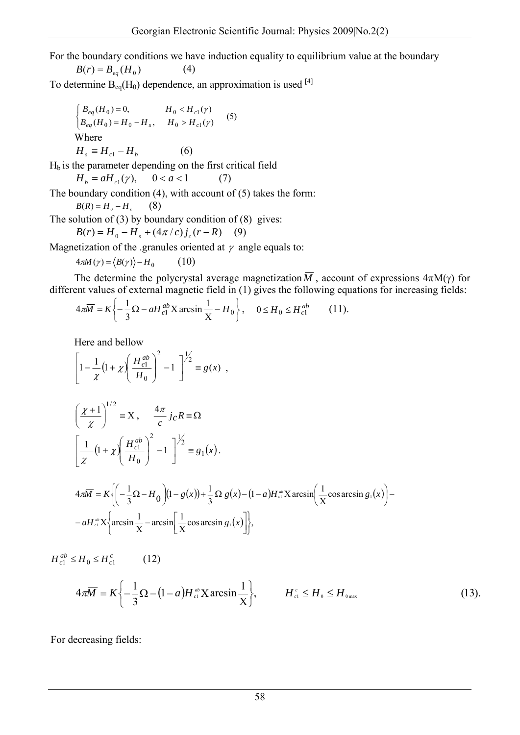For the boundary conditions we have induction equality to equilibrium value at the boundary

 $B(r) = B_{eq}(H_0)$  (4)

To determine  $B_{eq}(H_0)$  dependence, an approximation is used [4]

$$
\begin{cases}\nB_{eq}(H_0) = 0, & H_0 < H_{cl}(\gamma) \\
B_{eq}(H_0) = H_0 - H_s, & H_0 > H_{cl}(\gamma)\n\end{cases} \tag{5}
$$
\nWhere

\n
$$
H_s \equiv H_{cl} - H_b \tag{6}
$$

 $H_b$  is the parameter depending on the first critical field

 $H_b = aH_{c1}(\gamma)$ ,  $0 < a < 1$  (7)

The boundary condition  $(4)$ , with account of  $(5)$  takes the form:

 $B(R) = H_0 - H$ <sub>s</sub> (8)

The solution of  $(3)$  by boundary condition of  $(8)$  gives:

$$
B(r) = H_0 - H_s + (4\pi / c) j_c (r - R) \quad (9)
$$

Magnetization of the .granules oriented at  $\gamma$  angle equals to:

$$
4\pi M(\gamma) = \langle B(\gamma) \rangle - H_0 \tag{10}
$$

The determine the polycrystal average magnetization  $\overline{M}$ , account of expressions  $4\pi M(\gamma)$  for different values of external magnetic field in (1) gives the following equations for increasing fields:

$$
4\pi \overline{M} = K \left\{ -\frac{1}{3} \Omega - a H_{c1}^{ab} X \arcsin \frac{1}{X} - H_0 \right\}, \quad 0 \le H_0 \le H_{c1}^{ab} \tag{11}.
$$

Here and bellow

$$
\[1 - \frac{1}{\chi} (1 + \chi) \left( \frac{H_{c1}^{ab}}{H_0} \right)^2 - 1 \]^{1/2} \equiv g(x) ,
$$

$$
\left(\frac{\chi+1}{\chi}\right)^{1/2} \equiv X, \quad \frac{4\pi}{c} j_c R \equiv \Omega
$$

$$
\left[\frac{1}{\chi} \left(1 + \chi\right) \left(\frac{H_{c1}^{ab}}{H_0}\right)^2 - 1\right]^{1/2} \equiv g_1(x).
$$

$$
4\pi \overline{M} = K \left\{ \left( -\frac{1}{3} \Omega - H_0 \right) \left( 1 - g(x) \right) + \frac{1}{3} \Omega g(x) - (1 - a) H^{\omega} X \arcsin \left( \frac{1}{X} \cos \arcsin g_1(x) \right) - a H^{\omega} X \left\{ \arcsin \frac{1}{X} - \arcsin \left[ \frac{1}{X} \cos \arcsin g_1(x) \right] \right\},\right\}
$$

 $H_{c1}^{ab} \leq H_0 \leq H_{c1}^c$  (12)

$$
4\pi\overline{M} = K\left\{-\frac{1}{3}\Omega - (1-a)H_{\text{cl}}^{ab}X\arcsin\frac{1}{X}\right\}, \qquad H_{\text{cl}}^{c} \leq H_{0} \leq H_{\text{0max}} \tag{13}.
$$

For decreasing fields: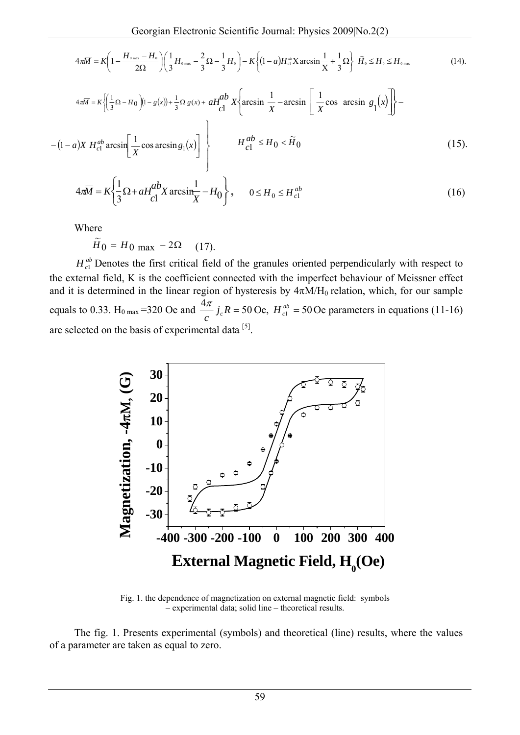$$
4\pi\overline{M} = K\left(1 - \frac{H_{\text{0 max}} - H_{\text{0}}}{2\Omega}\right)\left(\frac{1}{3}H_{\text{0 max}} - \frac{2}{3}\Omega - \frac{1}{3}H_{\text{0}}\right) - K\left\{(1 - a)H_{\text{cl}}^{ab}X\arcsin\frac{1}{X} + \frac{1}{3}\Omega\right\}\widetilde{H}_{\text{0}} \leq H_{\text{0 max}}\tag{14}.
$$

$$
4\pi\overline{M} = K \left\{ \left( \frac{1}{3} \Omega - H_0 \right) (1 - g(x)) + \frac{1}{3} \Omega g(x) + aH_{cl}^{ab} X \left\{ \arcsin \frac{1}{X} - \arcsin \left[ \frac{1}{X} \cos \arcsin g_1(x) \right] \right\} - (1 - a)X H_{cl}^{ab} \arcsin \left[ \frac{1}{X} \cos \arcsin g_1(x) \right] \right\}
$$
(15).

$$
4\pi \overline{M} = K \left\{ \frac{1}{3} \Omega + aH_{cl}^{ab} X \arcsin \frac{1}{X} - H_0 \right\}, \qquad 0 \le H_0 \le H_{cl}^{ab}
$$
 (16)

Where

$$
\widetilde{H}_0 = H_0 \text{ max} - 2\Omega \quad (17).
$$

 $H_{c1}^{ab}$  Denotes the first critical field of the granules oriented perpendicularly with respect to the external field, K is the coefficient connected with the imperfect behaviour of Meissner effect and it is determined in the linear region of hysteresis by  $4\pi M/H_0$  relation, which, for our sample equals to 0.33. H<sub>0 max</sub> =320 Oe and  $\frac{4\pi}{c} j_c R = 50$  Oe,  $H_{c1}^{ab} = 50$  Oe parameters in equations (11-16) are selected on the basis of experimental data [5].



Fig. 1. the dependence of magnetization on external magnetic field: symbols – experimental data; solid line – theoretical results.

The fig. 1. Presents experimental (symbols) and theoretical (line) results, where the values of a parameter are taken as equal to zero.